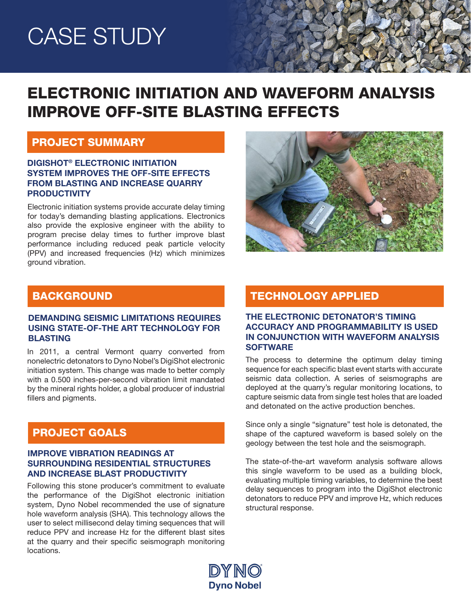# CASE STUDY

# ELECTRONIC INITIATION AND WAVEFORM ANALYSIS IMPROVE OFF-SITE BLASTING EFFECTS

### PROJECT SUMMARY

#### DIGISHOT® ELECTRONIC INITIATION SYSTEM IMPROVES THE OFF-SITE EFFECTS FROM BLASTING AND INCREASE QUARRY PRODUCTIVITY

Electronic initiation systems provide accurate delay timing for today's demanding blasting applications. Electronics also provide the explosive engineer with the ability to program precise delay times to further improve blast performance including reduced peak particle velocity (PPV) and increased frequencies (Hz) which minimizes ground vibration.



# **BACKGROUND**

#### DEMANDING SEISMIC LIMITATIONS REQUIRES USING STATE-OF-THE ART TECHNOLOGY FOR BLASTING

In 2011, a central Vermont quarry converted from nonelectric detonators to Dyno Nobel's DigiShot electronic initiation system. This change was made to better comply with a 0.500 inches-per-second vibration limit mandated by the mineral rights holder, a global producer of industrial fillers and pigments.

# PROJECT GOALS

#### IMPROVE VIBRATION READINGS AT SURROUNDING RESIDENTIAL STRUCTURES AND INCREASE BLAST PRODUCTIVITY

Following this stone producer's commitment to evaluate the performance of the DigiShot electronic initiation system, Dyno Nobel recommended the use of signature hole waveform analysis (SHA). This technology allows the user to select millisecond delay timing sequences that will reduce PPV and increase Hz for the different blast sites at the quarry and their specific seismograph monitoring locations.

# TECHNOLOGY APPLIED

#### THE ELECTRONIC DETONATOR'S TIMING ACCURACY AND PROGRAMMABILITY IS USED IN CONJUNCTION WITH WAVEFORM ANALYSIS **SOFTWARE**

The process to determine the optimum delay timing sequence for each specific blast event starts with accurate seismic data collection. A series of seismographs are deployed at the quarry's regular monitoring locations, to capture seismic data from single test holes that are loaded and detonated on the active production benches.

Since only a single "signature" test hole is detonated, the shape of the captured waveform is based solely on the geology between the test hole and the seismograph.

The state-of-the-art waveform analysis software allows this single waveform to be used as a building block, evaluating multiple timing variables, to determine the best delay sequences to program into the DigiShot electronic detonators to reduce PPV and improve Hz, which reduces structural response.